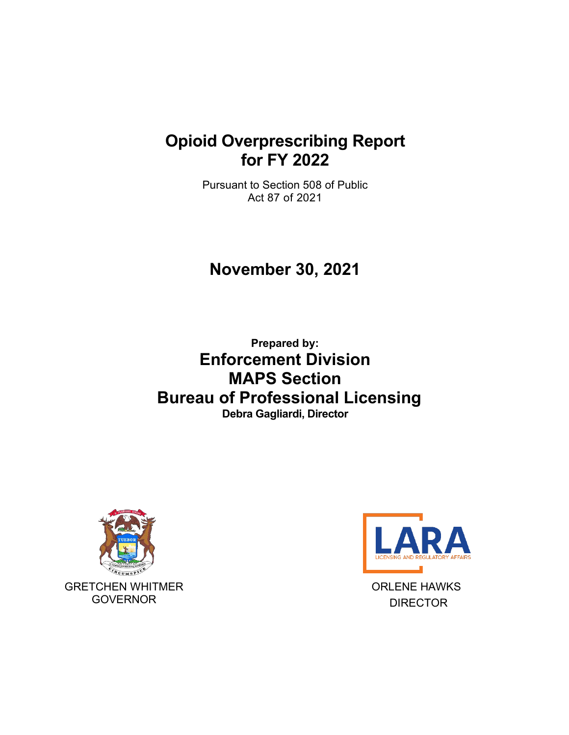## **Opioid Overprescribing Report for FY 2022**

Pursuant to Section 508 of Public Act 87 of 2021

# **November 30, 2021**

**Prepared by: Enforcement Division MAPS Section Bureau of Professional Licensing Debra Gagliardi, Director**





ORLENE HAWKS DIRECTOR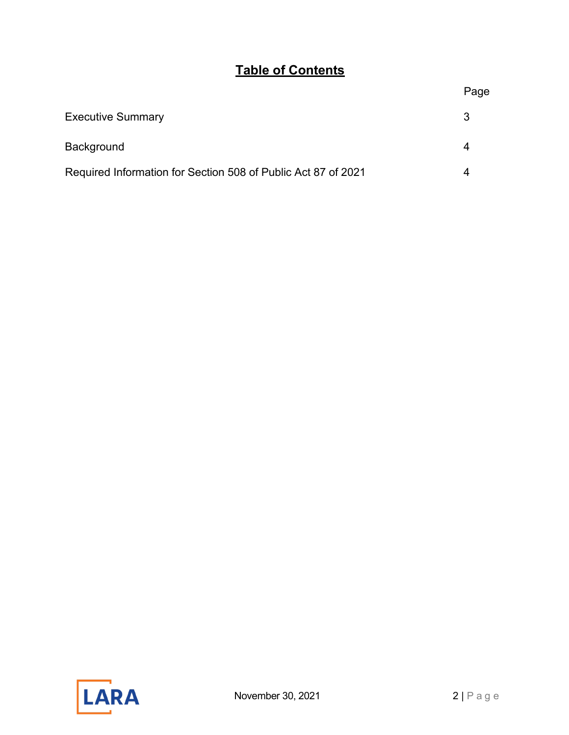### **Table of Contents**

### Page

| <b>Executive Summary</b>                                      |  |
|---------------------------------------------------------------|--|
| <b>Background</b>                                             |  |
| Required Information for Section 508 of Public Act 87 of 2021 |  |

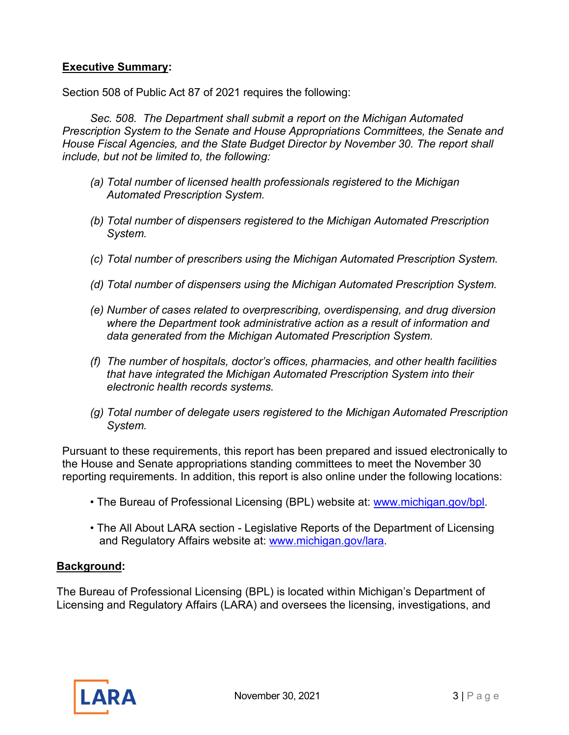#### <span id="page-2-0"></span>**Executive Summary:**

Section 508 of Public Act 87 of 2021 requires the following:

*Sec. 508. The Department shall submit a report on the Michigan Automated Prescription System to the Senate and House Appropriations Committees, the Senate and House Fiscal Agencies, and the State Budget Director by November 30. The report shall include, but not be limited to, the following:*

- *(a) Total number of licensed health professionals registered to the Michigan Automated Prescription System.*
- *(b) Total number of dispensers registered to the Michigan Automated Prescription System.*
- *(c) Total number of prescribers using the Michigan Automated Prescription System.*
- *(d) Total number of dispensers using the Michigan Automated Prescription System.*
- *(e) Number of cases related to overprescribing, overdispensing, and drug diversion where the Department took administrative action as a result of information and data generated from the Michigan Automated Prescription System.*
- *(f) The number of hospitals, doctor's offices, pharmacies, and other health facilities that have integrated the Michigan Automated Prescription System into their electronic health records systems.*
- *(g) Total number of delegate users registered to the Michigan Automated Prescription System.*

Pursuant to these requirements, this report has been prepared and issued electronically to the House and Senate appropriations standing committees to meet the November 30 reporting requirements. In addition, this report is also online under the following locations:

- The Bureau of Professional Licensing (BPL) website at: [www.michigan.gov/bpl.](http://www.michigan.gov/bpl)
- The All About LARA section Legislative Reports of the Department of Licensing and Regulatory Affairs website at: [www.michigan.gov/lara.](http://www.michigan.gov/lara)

#### **Background:**

The Bureau of Professional Licensing (BPL) is located within Michigan's Department of Licensing and Regulatory Affairs (LARA) and oversees the licensing, investigations, and

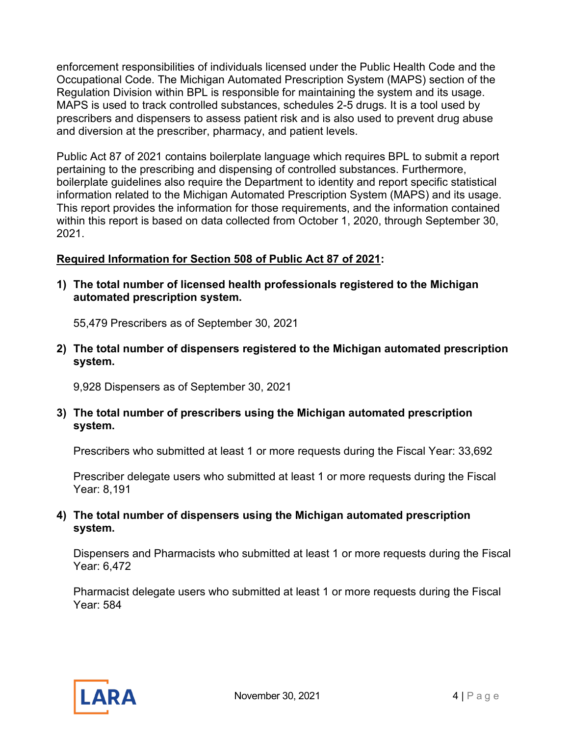enforcement responsibilities of individuals licensed under the Public Health Code and the Occupational Code. The Michigan Automated Prescription System (MAPS) section of the Regulation Division within BPL is responsible for maintaining the system and its usage. MAPS is used to track controlled substances, schedules 2-5 drugs. It is a tool used by prescribers and dispensers to assess patient risk and is also used to prevent drug abuse and diversion at the prescriber, pharmacy, and patient levels.

Public Act 87 of 2021 contains boilerplate language which requires BPL to submit a report pertaining to the prescribing and dispensing of controlled substances. Furthermore, boilerplate guidelines also require the Department to identity and report specific statistical information related to the Michigan Automated Prescription System (MAPS) and its usage. This report provides the information for those requirements, and the information contained within this report is based on data collected from October 1, 2020, through September 30, 2021.

#### **Required Information for Section 508 of Public Act 87 of 2021:**

**1) The total number of licensed health professionals registered to the Michigan automated prescription system.**

55,479 Prescribers as of September 30, 2021

**2) The total number of dispensers registered to the Michigan automated prescription system.** 

9,928 Dispensers as of September 30, 2021

**3) The total number of prescribers using the Michigan automated prescription system.** 

Prescribers who submitted at least 1 or more requests during the Fiscal Year: 33,692

Prescriber delegate users who submitted at least 1 or more requests during the Fiscal Year: 8,191

#### **4) The total number of dispensers using the Michigan automated prescription system.**

Dispensers and Pharmacists who submitted at least 1 or more requests during the Fiscal Year: 6,472

Pharmacist delegate users who submitted at least 1 or more requests during the Fiscal Year: 584